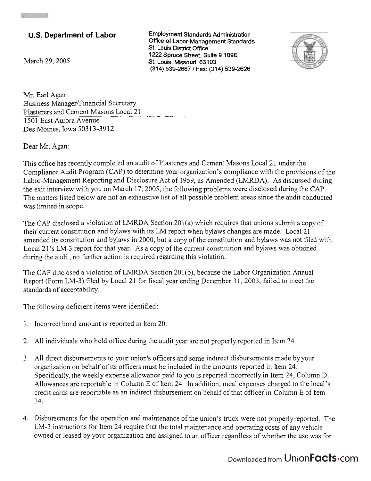## **U.S. Department of Labor**

March 29, 2005

 $Employment$  Standards Administration **Office of Labor-Management Standards St. Louis District Ofice**  1222 **Spruce Street, Suite** 9.1 **09E St. Louis, Missouri** 631 03 (31 4) 539-2667 1 **Fax:** (31 **4)** 539-2626



Mr. Earl Agan Business Manager/Financial Secretary Plasterers and Cement Masons Local 21 1501 East Aurora Avenue Des Moines, Iowa 503 13-39 12

Dear Mr. Agan:

This office has recently completed an audit of Plasterers and Cement Masons Local 21 under the Compliance Audit Program (CAP) to determine your organization's compliance with the provisions of the Labor-Management Reporting and Disclosure Act of 1959, as Amended (LMRDA). As discussed during the exit interview with you on March 17,2005, the following problems were disclosed during the CAP. The matters listed below are not an exhaustive list of all possible problem areas since the audit conducted was limited in scope.

The CAP disclosed a violation of LMRDA Section 201(a) which requires that unions submit a copy of their current constitution and bylaws with its LM report when bylaws changes are made. Local 21 amended its constitution and bylaws in 2000, but a copy of the constitution and bylaws was not filed with Local 21's LM-3 report for that year. As a copy of the current constitution and bylaws was obtained during the audit, no further action is required regarding this violation.

The CAP disclosed a violation of LMRDA Section 201(b), because the Labor Organization Annual Report (Form LM-3) filed by Local 21 for fiscal year ending December 31, 2003, failed to meet the standards of acceptability.

The following deficient items were identified:

- 1. Incorrect bond amount is reported in Item 20.
- 2. All individuals who held office during the audit year are not properly reported in Item 24.
- 3. All direct disbursements to your union's officers and some indirect disbursements made by your organization on behalf of its officers must be included in the amounts reported in Item 24. Specifically, the weekly expense allowance paid to you is reported incorrectly in Item 24, Column D. Allowances are reportable in Column E of Item 24. In addition, meal expenses charged to the local's credit cards are reportable as an indirect disbursement on behalf of that officer in Column E of lem *23.*
- 4. Disbursements for the operation and maintenance of the union's truck were not properlyreported. The LM-3 instructions for Item 24 require that the total maintenance and operating costs of any vehicle owned or leased by your organization and assigned to an officer regardless of whether the use was for

## Downloaded from Union**Facts**.com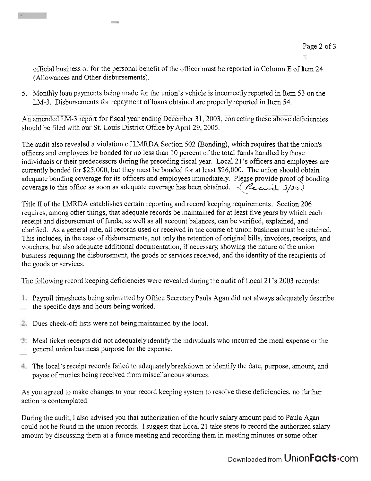official business or for the personal benefit of the officer must be reported in Column E of Item 24 (AlIowances and Other disbursements).

5. Monthly loan payments being made for the union's vehicle is incorrectlyreported in Item 53 on the LM-3. Disbursements for repayment of loans obtained are properly reported in Item 54.<br>amended J.M.3 report for fiscal year ending December 31, 2003, correcting these above.

An amended LM-3 report for fiscal year ending December 31, 2003, correcting these above deficiencies should be filed with our St. Louis District Office by April 29, 2005.

The audit also revealed a violation of LMRDA Section 502 (Bonding), which requires that the union's officers and employees be bonded for no less than 10 percent of the total hnds handled by those individuals or their predecessors during the preceding fiscal year. Local 21's officers and employees are currently bonded for \$25,000, but they must be bonded for at least \$26,000. The union should obtain adequate bonding coverage for its oficers and employees immediately. Please provide proof of bonding coverage to this office as soon as adequate coverage has been obtained.  $\sim$  *(learner*) 3/30)

Title I1 of the LMRDA establishes certain reporting and record keeping requirements. Section 206 requires, among other things, that adequate records be maintained for at least five years by which each receipt and disbursement of funds, as well as all account balances, can be verified, explained, and clarified. As a general rule, all records used or received in the course of union business must be retained. This includes, in the case of disbursements, not only the retention of original bills, invoices, receipts, and vouchers, but also adequate additional documentation, if necessary, showing the nature of the union business requiring the disbursement, the goods or services received, and the identity of the recipients of the goods or services.

The following record keeping deficiencies were revealed during the audit of Local 2 1 's 2003 records:

- Payroll timesheets being submitted by Office Secretary Paula Agan did not always adequately describe the specific days and hours being worked.
- Dues check-off lists were not being maintained by the local.

**College** 

- Meal ticket receipts did not adequately identify the individuals who incurred the meal expense or the general union business purpose for the expense.
- The local's receipt records failed to adequatelybreakdown or identify the date, purpose, amount, and payee of monies being received from miscellaneous sources.

As you agreed to make changes to your record keeping system to resolve these deficiencies, no further action is contemplated.

During the audit, I also advised you that authorization of the hourly salary amount paid to Paula Agan could not be found in the union records. I suggest that Local 21 take steps to record the authorized salary amount by discussing them at a future meeting and recording them in meeting minutes or some other